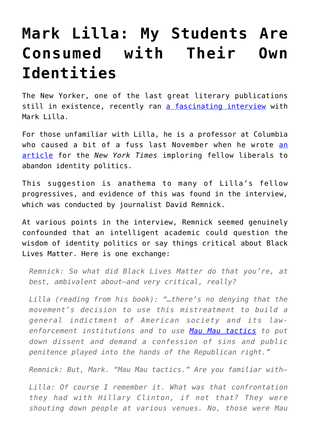## **[Mark Lilla: My Students Are](https://intellectualtakeout.org/2017/08/mark-lilla-my-students-are-consumed-with-their-own-identities/) [Consumed with Their Own](https://intellectualtakeout.org/2017/08/mark-lilla-my-students-are-consumed-with-their-own-identities/) [Identities](https://intellectualtakeout.org/2017/08/mark-lilla-my-students-are-consumed-with-their-own-identities/)**

The New Yorker, one of the last great literary publications still in existence, recently ran [a fascinating interview](https://www.newyorker.com/news/news-desk/a-conversation-with-mark-lilla-on-his-critique-of-identity-politics) with Mark Lilla.

For those unfamiliar with Lilla, he is a professor at Columbia who caused a bit of a fuss last November when he wrote [an](https://www.nytimes.com/2016/11/20/opinion/sunday/the-end-of-identity-liberalism.html?mcubz=1) [article](https://www.nytimes.com/2016/11/20/opinion/sunday/the-end-of-identity-liberalism.html?mcubz=1) for the *New York Times* imploring fellow liberals to abandon identity politics.

This suggestion is anathema to many of Lilla's fellow progressives, and evidence of this was found in the interview, which was conducted by journalist David Remnick.

At various points in the interview, Remnick seemed genuinely confounded that an intelligent academic could question the wisdom of identity politics or say things critical about Black Lives Matter. Here is one exchange:

*Remnick: So what did Black Lives Matter do that you're, at best, ambivalent about—and very critical, really?*

*Lilla (reading from his book): "…there's no denying that the movement's decision to use this mistreatment to build a general indictment of American society and its lawenforcement institutions and to use [Mau Mau tactics](https://sites.google.com/site/maumaurevolution/revolution/mau-mau-tactics) to put down dissent and demand a confession of sins and public penitence played into the hands of the Republican right."*

*Remnick: But, Mark. "Mau Mau tactics." Are you familiar with—*

*Lilla: Of course I remember it. What was that confrontation they had with Hillary Clinton, if not that? They were shouting down people at various venues. No, those were Mau*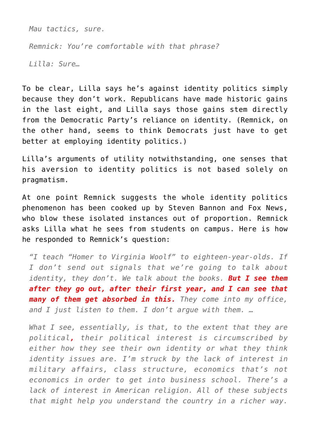*Mau tactics, sure.*

*Remnick: You're comfortable with that phrase?*

*Lilla: Sure…* 

To be clear, Lilla says he's against identity politics simply because they don't work. Republicans have made historic gains in the last eight, and Lilla says those gains stem directly from the Democratic Party's reliance on identity. (Remnick, on the other hand, seems to think Democrats just have to get better at employing identity politics.)

Lilla's arguments of utility notwithstanding, one senses that his aversion to identity politics is not based solely on pragmatism.

At one point Remnick suggests the whole identity politics phenomenon has been cooked up by Steven Bannon and Fox News, who blow these isolated instances out of proportion. Remnick asks Lilla what he sees from students on campus. Here is how he responded to Remnick's question:

*"I teach "Homer to Virginia Woolf" to eighteen-year-olds. If I don't send out signals that we're going to talk about identity, they don't. We talk about the books. But I see them after they go out, after their first year, and I can see that many of them get absorbed in this. They come into my office, and I just listen to them. I don't argue with them. …*

*What I see, essentially, is that, to the extent that they are political, their political interest is circumscribed by either how they see their own identity or what they think identity issues are. I'm struck by the lack of interest in military affairs, class structure, economics that's not economics in order to get into business school. There's a lack of interest in American religion. All of these subjects that might help you understand the country in a richer way.*